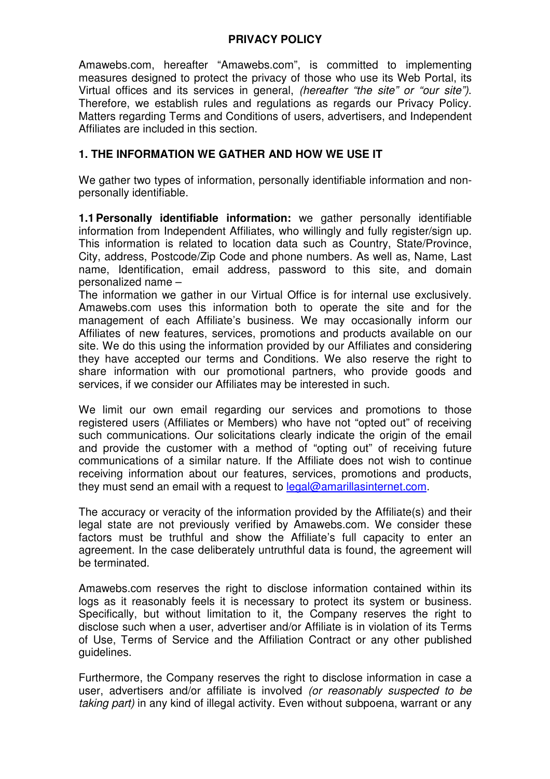## **PRIVACY POLICY**

Amawebs.com, hereafter "Amawebs.com", is committed to implementing measures designed to protect the privacy of those who use its Web Portal, its Virtual offices and its services in general, *(hereafter "the site" or "our site")*. Therefore, we establish rules and regulations as regards our Privacy Policy. Matters regarding Terms and Conditions of users, advertisers, and Independent Affiliates are included in this section.

## **1. THE INFORMATION WE GATHER AND HOW WE USE IT**

We gather two types of information, personally identifiable information and nonpersonally identifiable.

**1.1 Personally identifiable information:** we gather personally identifiable information from Independent Affiliates, who willingly and fully register/sign up. This information is related to location data such as Country, State/Province, City, address, Postcode/Zip Code and phone numbers. As well as, Name, Last name, Identification, email address, password to this site, and domain personalized name –

The information we gather in our Virtual Office is for internal use exclusively. Amawebs.com uses this information both to operate the site and for the management of each Affiliate's business. We may occasionally inform our Affiliates of new features, services, promotions and products available on our site. We do this using the information provided by our Affiliates and considering they have accepted our terms and Conditions. We also reserve the right to share information with our promotional partners, who provide goods and services, if we consider our Affiliates may be interested in such.

We limit our own email regarding our services and promotions to those registered users (Affiliates or Members) who have not "opted out" of receiving such communications. Our solicitations clearly indicate the origin of the email and provide the customer with a method of "opting out" of receiving future communications of a similar nature. If the Affiliate does not wish to continue receiving information about our features, services, promotions and products, they must send an email with a request to legal@amarillasinternet.com.

The accuracy or veracity of the information provided by the Affiliate(s) and their legal state are not previously verified by Amawebs.com. We consider these factors must be truthful and show the Affiliate's full capacity to enter an agreement. In the case deliberately untruthful data is found, the agreement will be terminated.

Amawebs.com reserves the right to disclose information contained within its logs as it reasonably feels it is necessary to protect its system or business. Specifically, but without limitation to it, the Company reserves the right to disclose such when a user, advertiser and/or Affiliate is in violation of its Terms of Use, Terms of Service and the Affiliation Contract or any other published guidelines.

Furthermore, the Company reserves the right to disclose information in case a user, advertisers and/or affiliate is involved (or reasonably suspected to be taking part) in any kind of illegal activity. Even without subpoena, warrant or any